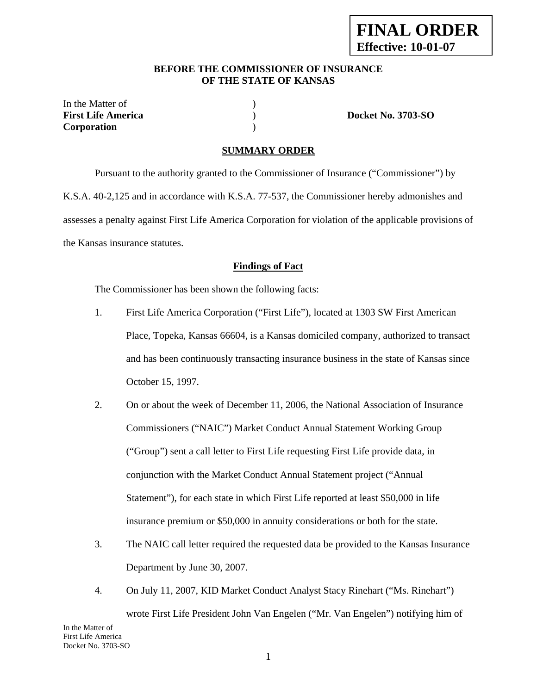#### **BEFORE THE COMMISSIONER OF INSURANCE OF THE STATE OF KANSAS**

In the Matter of  $\qquad \qquad$  ) **Corporation** )

**First Life America** ) **Docket No. 3703-SO** 

#### **SUMMARY ORDER**

 Pursuant to the authority granted to the Commissioner of Insurance ("Commissioner") by K.S.A. 40-2,125 and in accordance with K.S.A. 77-537, the Commissioner hereby admonishes and assesses a penalty against First Life America Corporation for violation of the applicable provisions of the Kansas insurance statutes.

#### **Findings of Fact**

The Commissioner has been shown the following facts:

- 1. First Life America Corporation ("First Life"), located at 1303 SW First American Place, Topeka, Kansas 66604, is a Kansas domiciled company, authorized to transact and has been continuously transacting insurance business in the state of Kansas since October 15, 1997.
- 2. On or about the week of December 11, 2006, the National Association of Insurance Commissioners ("NAIC") Market Conduct Annual Statement Working Group ("Group") sent a call letter to First Life requesting First Life provide data, in conjunction with the Market Conduct Annual Statement project ("Annual Statement"), for each state in which First Life reported at least \$50,000 in life insurance premium or \$50,000 in annuity considerations or both for the state.
- 3. The NAIC call letter required the requested data be provided to the Kansas Insurance Department by June 30, 2007.
- 4. On July 11, 2007, KID Market Conduct Analyst Stacy Rinehart ("Ms. Rinehart") wrote First Life President John Van Engelen ("Mr. Van Engelen") notifying him of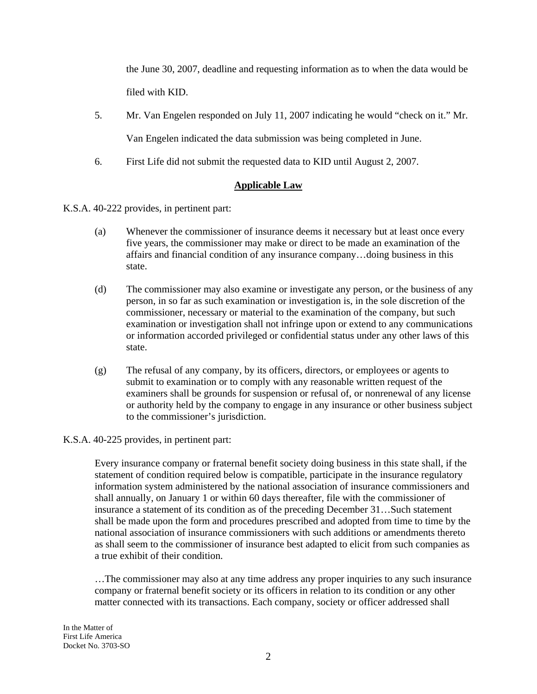the June 30, 2007, deadline and requesting information as to when the data would be filed with KID.

- 5. Mr. Van Engelen responded on July 11, 2007 indicating he would "check on it." Mr. Van Engelen indicated the data submission was being completed in June.
- 6. First Life did not submit the requested data to KID until August 2, 2007.

# **Applicable Law**

K.S.A. 40-222 provides, in pertinent part:

- (a) Whenever the commissioner of insurance deems it necessary but at least once every five years, the commissioner may make or direct to be made an examination of the affairs and financial condition of any insurance company…doing business in this state.
- (d) The commissioner may also examine or investigate any person, or the business of any person, in so far as such examination or investigation is, in the sole discretion of the commissioner, necessary or material to the examination of the company, but such examination or investigation shall not infringe upon or extend to any communications or information accorded privileged or confidential status under any other laws of this state.
- (g) The refusal of any company, by its officers, directors, or employees or agents to submit to examination or to comply with any reasonable written request of the examiners shall be grounds for suspension or refusal of, or nonrenewal of any license or authority held by the company to engage in any insurance or other business subject to the commissioner's jurisdiction.

### K.S.A. 40-225 provides, in pertinent part:

Every insurance company or fraternal benefit society doing business in this state shall, if the statement of condition required below is compatible, participate in the insurance regulatory information system administered by the national association of insurance commissioners and shall annually, on January 1 or within 60 days thereafter, file with the commissioner of insurance a statement of its condition as of the preceding December 31…Such statement shall be made upon the form and procedures prescribed and adopted from time to time by the national association of insurance commissioners with such additions or amendments thereto as shall seem to the commissioner of insurance best adapted to elicit from such companies as a true exhibit of their condition.

…The commissioner may also at any time address any proper inquiries to any such insurance company or fraternal benefit society or its officers in relation to its condition or any other matter connected with its transactions. Each company, society or officer addressed shall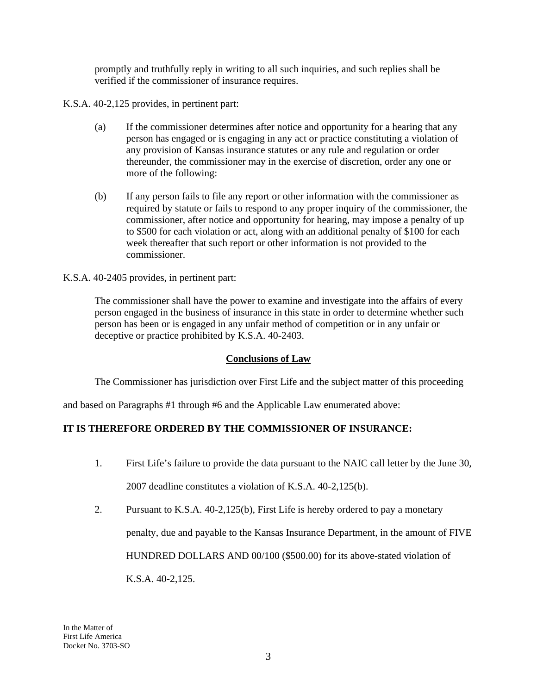promptly and truthfully reply in writing to all such inquiries, and such replies shall be verified if the commissioner of insurance requires.

K.S.A. 40-2,125 provides, in pertinent part:

- (a) If the commissioner determines after notice and opportunity for a hearing that any person has engaged or is engaging in any act or practice constituting a violation of any provision of Kansas insurance statutes or any rule and regulation or order thereunder, the commissioner may in the exercise of discretion, order any one or more of the following:
- (b) If any person fails to file any report or other information with the commissioner as required by statute or fails to respond to any proper inquiry of the commissioner, the commissioner, after notice and opportunity for hearing, may impose a penalty of up to \$500 for each violation or act, along with an additional penalty of \$100 for each week thereafter that such report or other information is not provided to the commissioner.

K.S.A. 40-2405 provides, in pertinent part:

The commissioner shall have the power to examine and investigate into the affairs of every person engaged in the business of insurance in this state in order to determine whether such person has been or is engaged in any unfair method of competition or in any unfair or deceptive or practice prohibited by K.S.A. 40-2403.

# **Conclusions of Law**

The Commissioner has jurisdiction over First Life and the subject matter of this proceeding

and based on Paragraphs #1 through #6 and the Applicable Law enumerated above:

# **IT IS THEREFORE ORDERED BY THE COMMISSIONER OF INSURANCE:**

- 1. First Life's failure to provide the data pursuant to the NAIC call letter by the June 30, 2007 deadline constitutes a violation of K.S.A. 40-2,125(b).
- 2. Pursuant to K.S.A. 40-2,125(b), First Life is hereby ordered to pay a monetary penalty, due and payable to the Kansas Insurance Department, in the amount of FIVE HUNDRED DOLLARS AND 00/100 (\$500.00) for its above-stated violation of K.S.A. 40-2,125.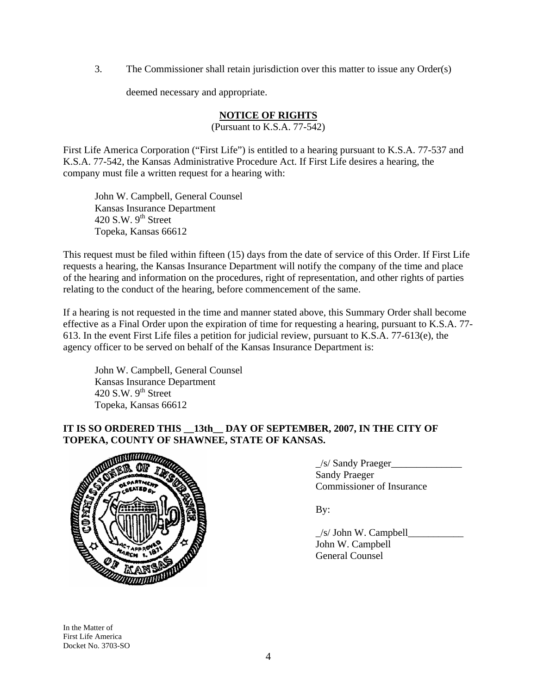3. The Commissioner shall retain jurisdiction over this matter to issue any Order(s)

deemed necessary and appropriate.

## **NOTICE OF RIGHTS**

(Pursuant to K.S.A. 77-542)

First Life America Corporation ("First Life") is entitled to a hearing pursuant to K.S.A. 77-537 and K.S.A. 77-542, the Kansas Administrative Procedure Act. If First Life desires a hearing, the company must file a written request for a hearing with:

 John W. Campbell, General Counsel Kansas Insurance Department 420 S.W.  $9<sup>th</sup>$  Street Topeka, Kansas 66612

This request must be filed within fifteen (15) days from the date of service of this Order. If First Life requests a hearing, the Kansas Insurance Department will notify the company of the time and place of the hearing and information on the procedures, right of representation, and other rights of parties relating to the conduct of the hearing, before commencement of the same.

If a hearing is not requested in the time and manner stated above, this Summary Order shall become effective as a Final Order upon the expiration of time for requesting a hearing, pursuant to K.S.A. 77- 613. In the event First Life files a petition for judicial review, pursuant to K.S.A. 77-613(e), the agency officer to be served on behalf of the Kansas Insurance Department is:

 John W. Campbell, General Counsel Kansas Insurance Department 420 S.W.  $9<sup>th</sup>$  Street Topeka, Kansas 66612

### **IT IS SO ORDERED THIS \_\_13th\_\_ DAY OF SEPTEMBER, 2007, IN THE CITY OF TOPEKA, COUNTY OF SHAWNEE, STATE OF KANSAS.**



\_/s/ Sandy Praeger\_\_\_\_\_\_\_\_\_\_\_\_\_\_ Sandy Praeger Commissioner of Insurance

 $\angle$ s/ John W. Campbell John W. Campbell General Counsel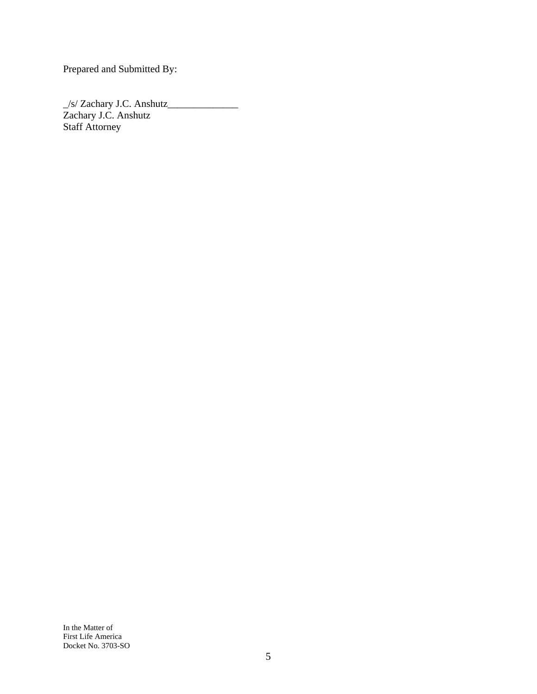Prepared and Submitted By:

\_/s/ Zachary J.C. Anshutz\_\_\_\_\_\_\_\_\_\_\_\_\_\_ Zachary J.C. Anshutz Staff Attorney